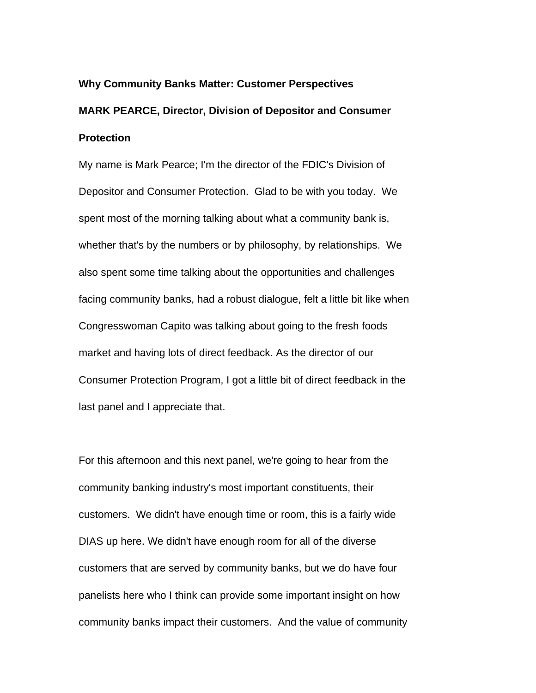# **Why Community Banks Matter: Customer Perspectives MARK PEARCE, Director, Division of Depositor and Consumer Protection**

My name is Mark Pearce; I'm the director of the FDIC's Division of Depositor and Consumer Protection. Glad to be with you today. We spent most of the morning talking about what a community bank is, whether that's by the numbers or by philosophy, by relationships. We also spent some time talking about the opportunities and challenges facing community banks, had a robust dialogue, felt a little bit like when Congresswoman Capito was talking about going to the fresh foods market and having lots of direct feedback. As the director of our Consumer Protection Program, I got a little bit of direct feedback in the last panel and I appreciate that.

For this afternoon and this next panel, we're going to hear from the community banking industry's most important constituents, their customers. We didn't have enough time or room, this is a fairly wide DIAS up here. We didn't have enough room for all of the diverse customers that are served by community banks, but we do have four panelists here who I think can provide some important insight on how community banks impact their customers. And the value of community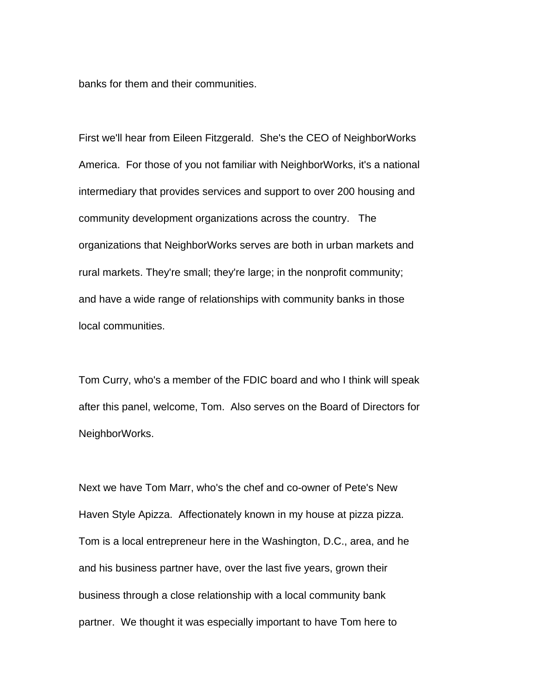banks for them and their communities.

First we'll hear from Eileen Fitzgerald. She's the CEO of NeighborWorks America. For those of you not familiar with NeighborWorks, it's a national intermediary that provides services and support to over 200 housing and community development organizations across the country. The organizations that NeighborWorks serves are both in urban markets and rural markets. They're small; they're large; in the nonprofit community; and have a wide range of relationships with community banks in those local communities.

Tom Curry, who's a member of the FDIC board and who I think will speak after this panel, welcome, Tom. Also serves on the Board of Directors for NeighborWorks.

Next we have Tom Marr, who's the chef and co-owner of Pete's New Haven Style Apizza. Affectionately known in my house at pizza pizza. Tom is a local entrepreneur here in the Washington, D.C., area, and he and his business partner have, over the last five years, grown their business through a close relationship with a local community bank partner. We thought it was especially important to have Tom here to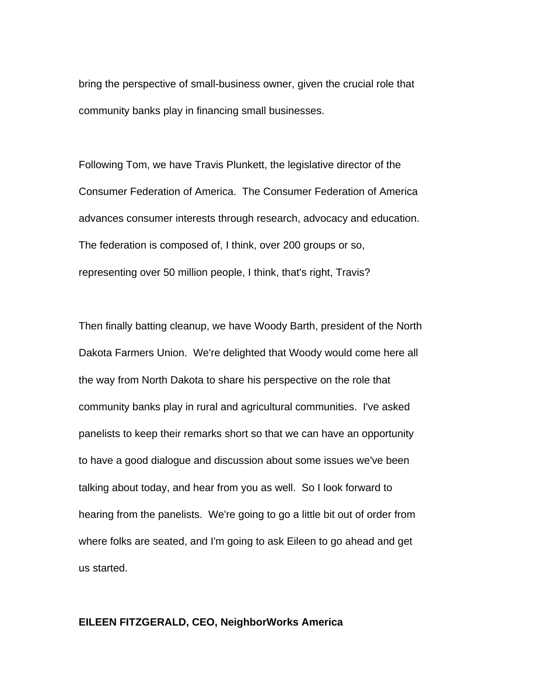bring the perspective of small-business owner, given the crucial role that community banks play in financing small businesses.

Following Tom, we have Travis Plunkett, the legislative director of the Consumer Federation of America. The Consumer Federation of America advances consumer interests through research, advocacy and education. The federation is composed of, I think, over 200 groups or so, representing over 50 million people, I think, that's right, Travis?

Then finally batting cleanup, we have Woody Barth, president of the North Dakota Farmers Union. We're delighted that Woody would come here all the way from North Dakota to share his perspective on the role that community banks play in rural and agricultural communities. I've asked panelists to keep their remarks short so that we can have an opportunity to have a good dialogue and discussion about some issues we've been talking about today, and hear from you as well. So I look forward to hearing from the panelists. We're going to go a little bit out of order from where folks are seated, and I'm going to ask Eileen to go ahead and get us started.

## **EILEEN FITZGERALD, CEO, NeighborWorks America**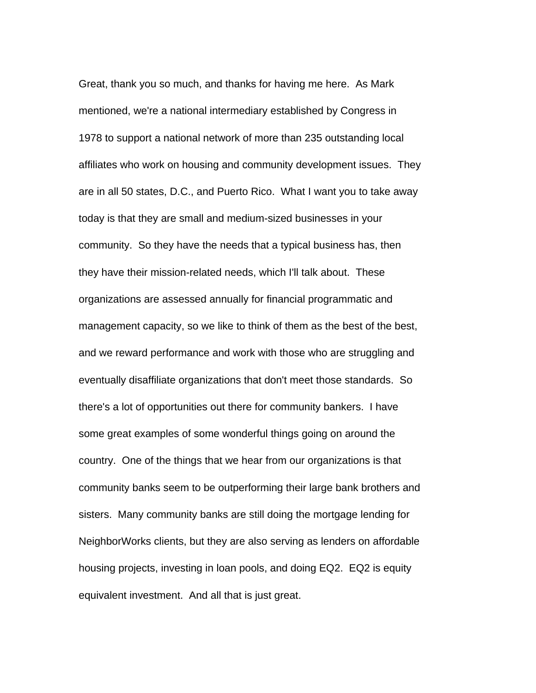Great, thank you so much, and thanks for having me here. As Mark mentioned, we're a national intermediary established by Congress in 1978 to support a national network of more than 235 outstanding local affiliates who work on housing and community development issues. They are in all 50 states, D.C., and Puerto Rico. What I want you to take away today is that they are small and medium-sized businesses in your community. So they have the needs that a typical business has, then they have their mission-related needs, which I'll talk about. These organizations are assessed annually for financial programmatic and management capacity, so we like to think of them as the best of the best, and we reward performance and work with those who are struggling and eventually disaffiliate organizations that don't meet those standards. So there's a lot of opportunities out there for community bankers. I have some great examples of some wonderful things going on around the country. One of the things that we hear from our organizations is that community banks seem to be outperforming their large bank brothers and sisters. Many community banks are still doing the mortgage lending for NeighborWorks clients, but they are also serving as lenders on affordable housing projects, investing in loan pools, and doing EQ2. EQ2 is equity equivalent investment. And all that is just great.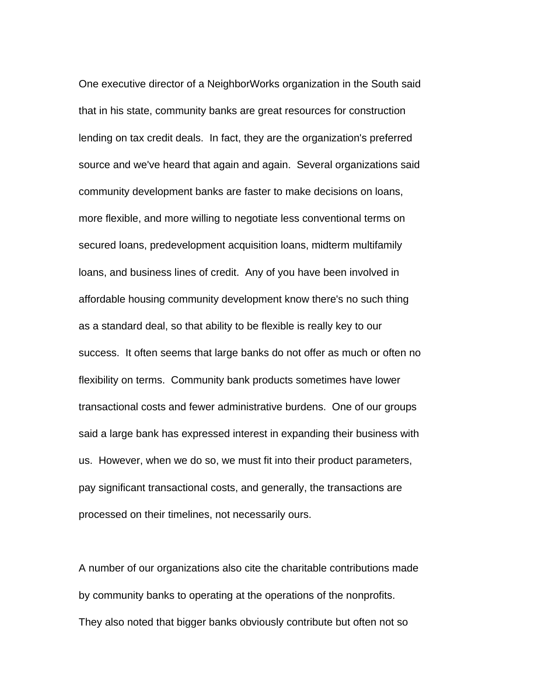One executive director of a NeighborWorks organization in the South said that in his state, community banks are great resources for construction lending on tax credit deals. In fact, they are the organization's preferred source and we've heard that again and again. Several organizations said community development banks are faster to make decisions on loans, more flexible, and more willing to negotiate less conventional terms on secured loans, predevelopment acquisition loans, midterm multifamily loans, and business lines of credit. Any of you have been involved in affordable housing community development know there's no such thing as a standard deal, so that ability to be flexible is really key to our success. It often seems that large banks do not offer as much or often no flexibility on terms. Community bank products sometimes have lower transactional costs and fewer administrative burdens. One of our groups said a large bank has expressed interest in expanding their business with us. However, when we do so, we must fit into their product parameters, pay significant transactional costs, and generally, the transactions are processed on their timelines, not necessarily ours.

A number of our organizations also cite the charitable contributions made by community banks to operating at the operations of the nonprofits. They also noted that bigger banks obviously contribute but often not so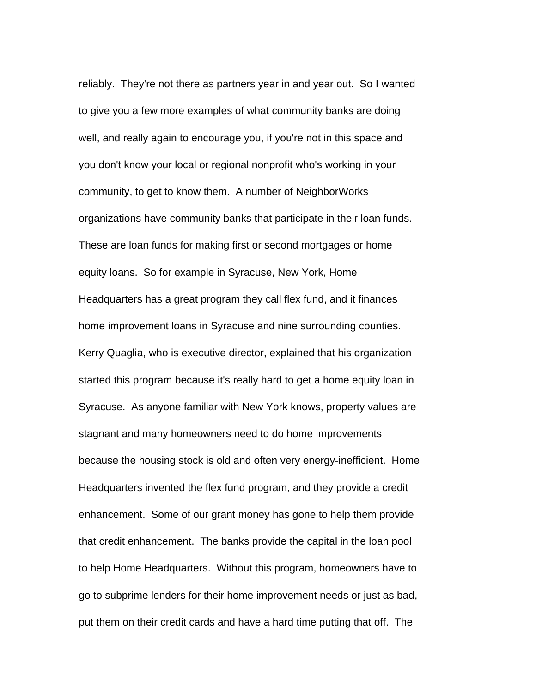reliably. They're not there as partners year in and year out. So I wanted to give you a few more examples of what community banks are doing well, and really again to encourage you, if you're not in this space and you don't know your local or regional nonprofit who's working in your community, to get to know them. A number of NeighborWorks organizations have community banks that participate in their loan funds. These are loan funds for making first or second mortgages or home equity loans. So for example in Syracuse, New York, Home Headquarters has a great program they call flex fund, and it finances home improvement loans in Syracuse and nine surrounding counties. Kerry Quaglia, who is executive director, explained that his organization started this program because it's really hard to get a home equity loan in Syracuse. As anyone familiar with New York knows, property values are stagnant and many homeowners need to do home improvements because the housing stock is old and often very energy-inefficient. Home Headquarters invented the flex fund program, and they provide a credit enhancement. Some of our grant money has gone to help them provide that credit enhancement. The banks provide the capital in the loan pool to help Home Headquarters. Without this program, homeowners have to go to subprime lenders for their home improvement needs or just as bad, put them on their credit cards and have a hard time putting that off. The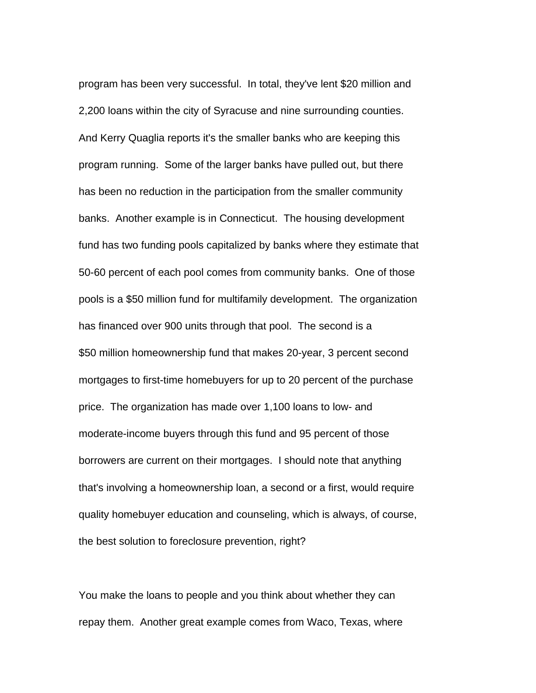program has been very successful. In total, they've lent \$20 million and 2,200 loans within the city of Syracuse and nine surrounding counties. And Kerry Quaglia reports it's the smaller banks who are keeping this program running. Some of the larger banks have pulled out, but there has been no reduction in the participation from the smaller community banks. Another example is in Connecticut. The housing development fund has two funding pools capitalized by banks where they estimate that 50-60 percent of each pool comes from community banks. One of those pools is a \$50 million fund for multifamily development. The organization has financed over 900 units through that pool. The second is a \$50 million homeownership fund that makes 20-year, 3 percent second mortgages to first-time homebuyers for up to 20 percent of the purchase price. The organization has made over 1,100 loans to low- and moderate-income buyers through this fund and 95 percent of those borrowers are current on their mortgages. I should note that anything that's involving a homeownership loan, a second or a first, would require quality homebuyer education and counseling, which is always, of course, the best solution to foreclosure prevention, right?

You make the loans to people and you think about whether they can repay them. Another great example comes from Waco, Texas, where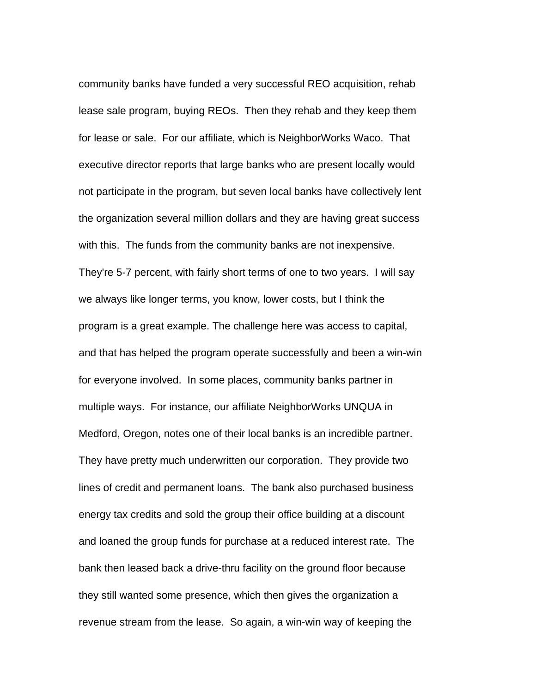community banks have funded a very successful REO acquisition, rehab lease sale program, buying REOs. Then they rehab and they keep them for lease or sale. For our affiliate, which is NeighborWorks Waco. That executive director reports that large banks who are present locally would not participate in the program, but seven local banks have collectively lent the organization several million dollars and they are having great success with this. The funds from the community banks are not inexpensive. They're 5-7 percent, with fairly short terms of one to two years. I will say we always like longer terms, you know, lower costs, but I think the program is a great example. The challenge here was access to capital, and that has helped the program operate successfully and been a win-win for everyone involved. In some places, community banks partner in multiple ways. For instance, our affiliate NeighborWorks UNQUA in Medford, Oregon, notes one of their local banks is an incredible partner. They have pretty much underwritten our corporation. They provide two lines of credit and permanent loans. The bank also purchased business energy tax credits and sold the group their office building at a discount and loaned the group funds for purchase at a reduced interest rate. The bank then leased back a drive-thru facility on the ground floor because they still wanted some presence, which then gives the organization a revenue stream from the lease. So again, a win-win way of keeping the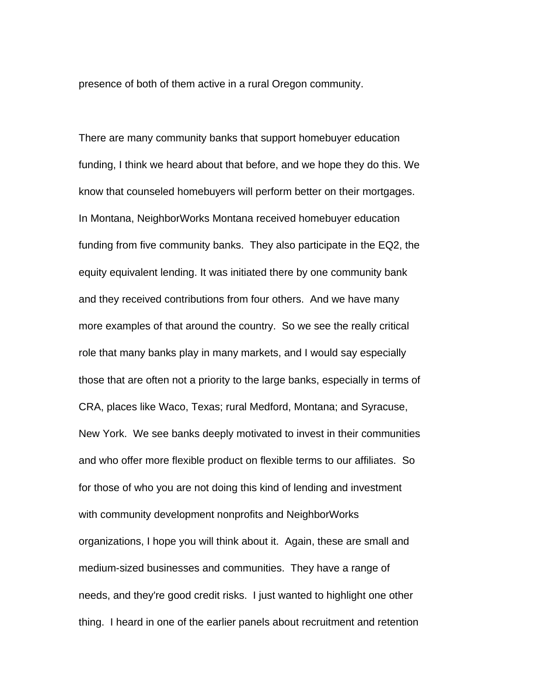presence of both of them active in a rural Oregon community.

There are many community banks that support homebuyer education funding, I think we heard about that before, and we hope they do this. We know that counseled homebuyers will perform better on their mortgages. In Montana, NeighborWorks Montana received homebuyer education funding from five community banks. They also participate in the EQ2, the equity equivalent lending. It was initiated there by one community bank and they received contributions from four others. And we have many more examples of that around the country. So we see the really critical role that many banks play in many markets, and I would say especially those that are often not a priority to the large banks, especially in terms of CRA, places like Waco, Texas; rural Medford, Montana; and Syracuse, New York. We see banks deeply motivated to invest in their communities and who offer more flexible product on flexible terms to our affiliates. So for those of who you are not doing this kind of lending and investment with community development nonprofits and NeighborWorks organizations, I hope you will think about it. Again, these are small and medium-sized businesses and communities. They have a range of needs, and they're good credit risks. I just wanted to highlight one other thing. I heard in one of the earlier panels about recruitment and retention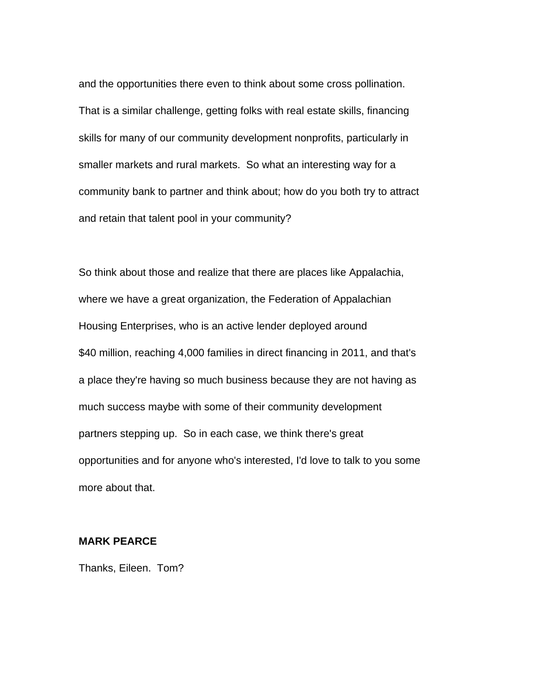and the opportunities there even to think about some cross pollination. That is a similar challenge, getting folks with real estate skills, financing skills for many of our community development nonprofits, particularly in smaller markets and rural markets. So what an interesting way for a community bank to partner and think about; how do you both try to attract and retain that talent pool in your community?

So think about those and realize that there are places like Appalachia, where we have a great organization, the Federation of Appalachian Housing Enterprises, who is an active lender deployed around \$40 million, reaching 4,000 families in direct financing in 2011, and that's a place they're having so much business because they are not having as much success maybe with some of their community development partners stepping up. So in each case, we think there's great opportunities and for anyone who's interested, I'd love to talk to you some more about that.

## **MARK PEARCE**

Thanks, Eileen. Tom?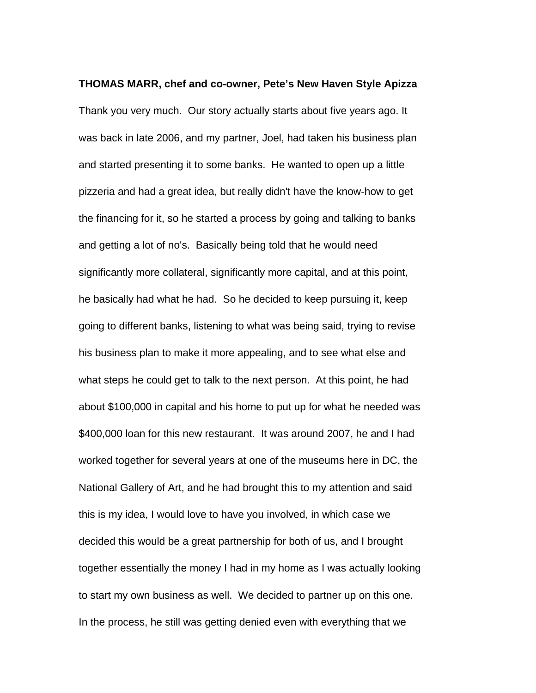**THOMAS MARR, chef and co-owner, Pete's New Haven Style Apizza**  Thank you very much. Our story actually starts about five years ago. It was back in late 2006, and my partner, Joel, had taken his business plan and started presenting it to some banks. He wanted to open up a little pizzeria and had a great idea, but really didn't have the know-how to get the financing for it, so he started a process by going and talking to banks and getting a lot of no's. Basically being told that he would need significantly more collateral, significantly more capital, and at this point, he basically had what he had. So he decided to keep pursuing it, keep going to different banks, listening to what was being said, trying to revise his business plan to make it more appealing, and to see what else and what steps he could get to talk to the next person. At this point, he had about \$100,000 in capital and his home to put up for what he needed was \$400,000 loan for this new restaurant. It was around 2007, he and I had worked together for several years at one of the museums here in DC, the National Gallery of Art, and he had brought this to my attention and said this is my idea, I would love to have you involved, in which case we decided this would be a great partnership for both of us, and I brought together essentially the money I had in my home as I was actually looking to start my own business as well. We decided to partner up on this one. In the process, he still was getting denied even with everything that we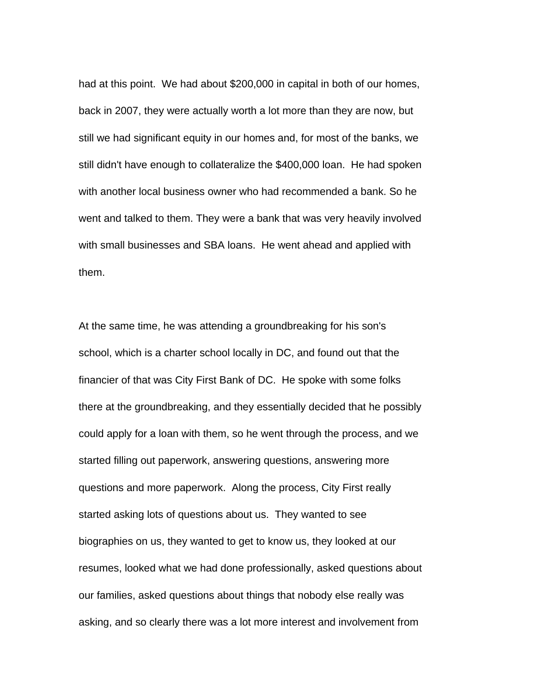had at this point. We had about \$200,000 in capital in both of our homes, back in 2007, they were actually worth a lot more than they are now, but still we had significant equity in our homes and, for most of the banks, we still didn't have enough to collateralize the \$400,000 loan. He had spoken with another local business owner who had recommended a bank. So he went and talked to them. They were a bank that was very heavily involved with small businesses and SBA loans. He went ahead and applied with them.

At the same time, he was attending a groundbreaking for his son's school, which is a charter school locally in DC, and found out that the financier of that was City First Bank of DC. He spoke with some folks there at the groundbreaking, and they essentially decided that he possibly could apply for a loan with them, so he went through the process, and we started filling out paperwork, answering questions, answering more questions and more paperwork. Along the process, City First really started asking lots of questions about us. They wanted to see biographies on us, they wanted to get to know us, they looked at our resumes, looked what we had done professionally, asked questions about our families, asked questions about things that nobody else really was asking, and so clearly there was a lot more interest and involvement from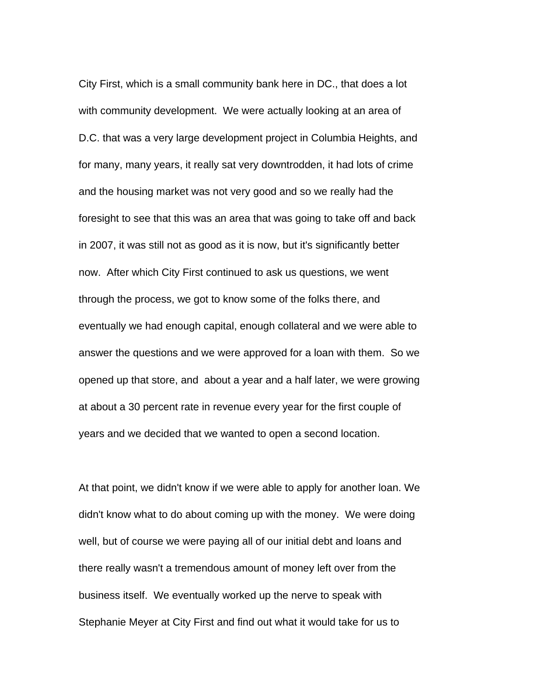City First, which is a small community bank here in DC., that does a lot with community development. We were actually looking at an area of D.C. that was a very large development project in Columbia Heights, and for many, many years, it really sat very downtrodden, it had lots of crime and the housing market was not very good and so we really had the foresight to see that this was an area that was going to take off and back in 2007, it was still not as good as it is now, but it's significantly better now. After which City First continued to ask us questions, we went through the process, we got to know some of the folks there, and eventually we had enough capital, enough collateral and we were able to answer the questions and we were approved for a loan with them. So we opened up that store, and about a year and a half later, we were growing at about a 30 percent rate in revenue every year for the first couple of years and we decided that we wanted to open a second location.

At that point, we didn't know if we were able to apply for another loan. We didn't know what to do about coming up with the money. We were doing well, but of course we were paying all of our initial debt and loans and there really wasn't a tremendous amount of money left over from the business itself. We eventually worked up the nerve to speak with Stephanie Meyer at City First and find out what it would take for us to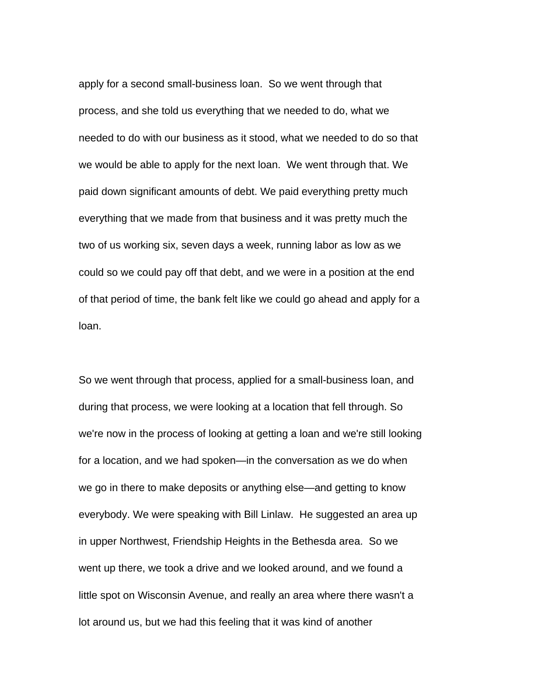apply for a second small-business loan. So we went through that process, and she told us everything that we needed to do, what we needed to do with our business as it stood, what we needed to do so that we would be able to apply for the next loan. We went through that. We paid down significant amounts of debt. We paid everything pretty much everything that we made from that business and it was pretty much the two of us working six, seven days a week, running labor as low as we could so we could pay off that debt, and we were in a position at the end of that period of time, the bank felt like we could go ahead and apply for a loan.

So we went through that process, applied for a small-business loan, and during that process, we were looking at a location that fell through. So we're now in the process of looking at getting a loan and we're still looking for a location, and we had spoken—in the conversation as we do when we go in there to make deposits or anything else—and getting to know everybody. We were speaking with Bill Linlaw. He suggested an area up in upper Northwest, Friendship Heights in the Bethesda area. So we went up there, we took a drive and we looked around, and we found a little spot on Wisconsin Avenue, and really an area where there wasn't a lot around us, but we had this feeling that it was kind of another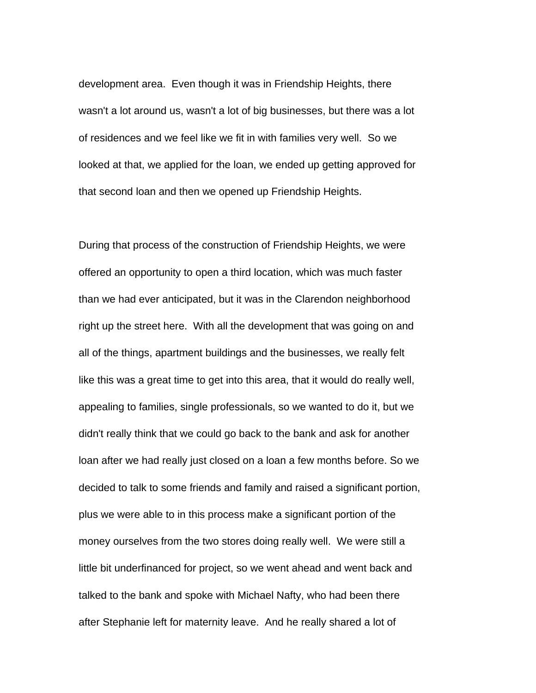development area. Even though it was in Friendship Heights, there wasn't a lot around us, wasn't a lot of big businesses, but there was a lot of residences and we feel like we fit in with families very well. So we looked at that, we applied for the loan, we ended up getting approved for that second loan and then we opened up Friendship Heights.

During that process of the construction of Friendship Heights, we were offered an opportunity to open a third location, which was much faster than we had ever anticipated, but it was in the Clarendon neighborhood right up the street here. With all the development that was going on and all of the things, apartment buildings and the businesses, we really felt like this was a great time to get into this area, that it would do really well, appealing to families, single professionals, so we wanted to do it, but we didn't really think that we could go back to the bank and ask for another loan after we had really just closed on a loan a few months before. So we decided to talk to some friends and family and raised a significant portion, plus we were able to in this process make a significant portion of the money ourselves from the two stores doing really well. We were still a little bit underfinanced for project, so we went ahead and went back and talked to the bank and spoke with Michael Nafty, who had been there after Stephanie left for maternity leave. And he really shared a lot of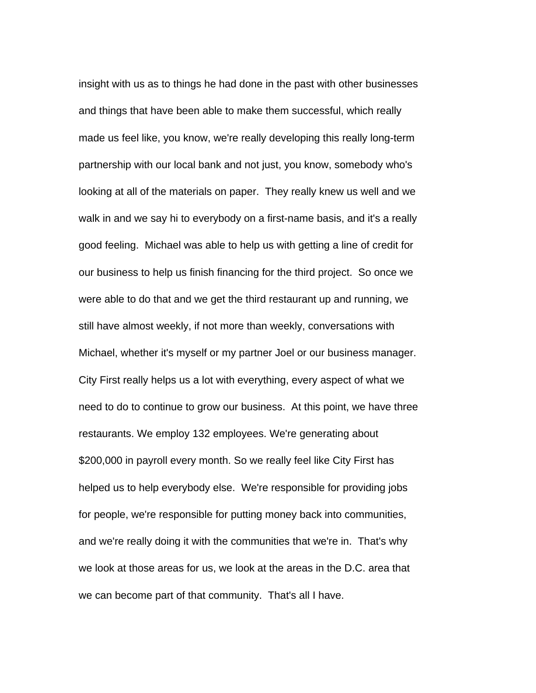insight with us as to things he had done in the past with other businesses and things that have been able to make them successful, which really made us feel like, you know, we're really developing this really long-term partnership with our local bank and not just, you know, somebody who's looking at all of the materials on paper. They really knew us well and we walk in and we say hi to everybody on a first-name basis, and it's a really good feeling. Michael was able to help us with getting a line of credit for our business to help us finish financing for the third project. So once we were able to do that and we get the third restaurant up and running, we still have almost weekly, if not more than weekly, conversations with Michael, whether it's myself or my partner Joel or our business manager. City First really helps us a lot with everything, every aspect of what we need to do to continue to grow our business. At this point, we have three restaurants. We employ 132 employees. We're generating about \$200,000 in payroll every month. So we really feel like City First has helped us to help everybody else. We're responsible for providing jobs for people, we're responsible for putting money back into communities, and we're really doing it with the communities that we're in. That's why we look at those areas for us, we look at the areas in the D.C. area that we can become part of that community. That's all I have.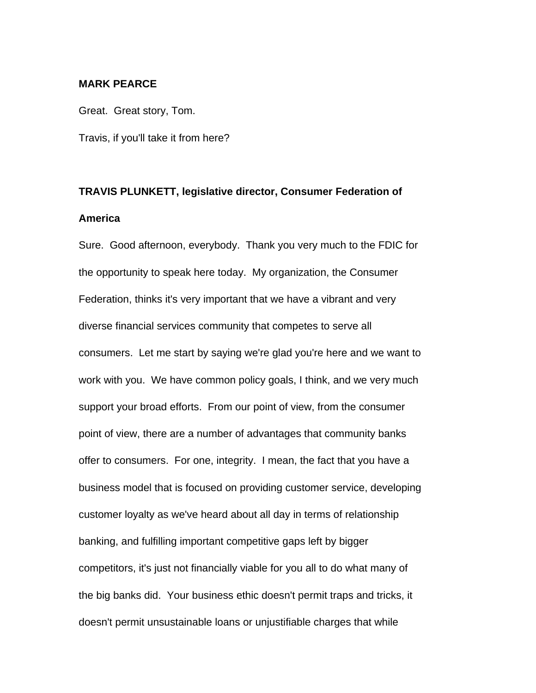## **MARK PEARCE**

Great. Great story, Tom. Travis, if you'll take it from here?

## **TRAVIS PLUNKETT, legislative director, Consumer Federation of America**

Sure. Good afternoon, everybody. Thank you very much to the FDIC for the opportunity to speak here today. My organization, the Consumer Federation, thinks it's very important that we have a vibrant and very diverse financial services community that competes to serve all consumers. Let me start by saying we're glad you're here and we want to work with you. We have common policy goals, I think, and we very much support your broad efforts. From our point of view, from the consumer point of view, there are a number of advantages that community banks offer to consumers. For one, integrity. I mean, the fact that you have a business model that is focused on providing customer service, developing customer loyalty as we've heard about all day in terms of relationship banking, and fulfilling important competitive gaps left by bigger competitors, it's just not financially viable for you all to do what many of the big banks did. Your business ethic doesn't permit traps and tricks, it doesn't permit unsustainable loans or unjustifiable charges that while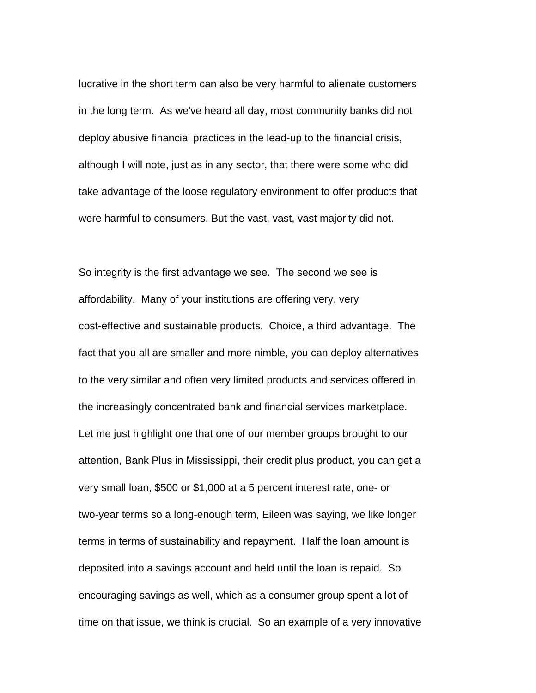lucrative in the short term can also be very harmful to alienate customers in the long term. As we've heard all day, most community banks did not deploy abusive financial practices in the lead-up to the financial crisis, although I will note, just as in any sector, that there were some who did take advantage of the loose regulatory environment to offer products that were harmful to consumers. But the vast, vast, vast majority did not.

So integrity is the first advantage we see. The second we see is affordability. Many of your institutions are offering very, very cost-effective and sustainable products. Choice, a third advantage. The fact that you all are smaller and more nimble, you can deploy alternatives to the very similar and often very limited products and services offered in the increasingly concentrated bank and financial services marketplace. Let me just highlight one that one of our member groups brought to our attention, Bank Plus in Mississippi, their credit plus product, you can get a very small loan, \$500 or \$1,000 at a 5 percent interest rate, one- or two-year terms so a long-enough term, Eileen was saying, we like longer terms in terms of sustainability and repayment. Half the loan amount is deposited into a savings account and held until the loan is repaid. So encouraging savings as well, which as a consumer group spent a lot of time on that issue, we think is crucial. So an example of a very innovative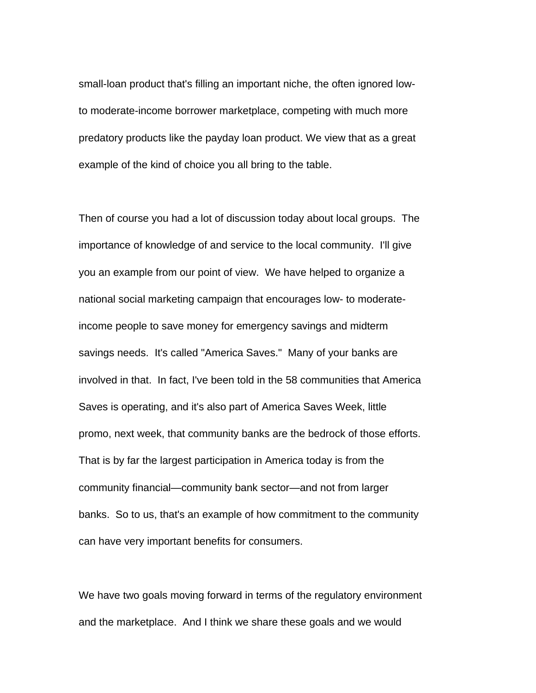small-loan product that's filling an important niche, the often ignored lowto moderate-income borrower marketplace, competing with much more predatory products like the payday loan product. We view that as a great example of the kind of choice you all bring to the table.

Then of course you had a lot of discussion today about local groups. The importance of knowledge of and service to the local community. I'll give you an example from our point of view. We have helped to organize a national social marketing campaign that encourages low- to moderateincome people to save money for emergency savings and midterm savings needs. It's called "America Saves." Many of your banks are involved in that. In fact, I've been told in the 58 communities that America Saves is operating, and it's also part of America Saves Week, little promo, next week, that community banks are the bedrock of those efforts. That is by far the largest participation in America today is from the community financial—community bank sector—and not from larger banks. So to us, that's an example of how commitment to the community can have very important benefits for consumers.

We have two goals moving forward in terms of the regulatory environment and the marketplace. And I think we share these goals and we would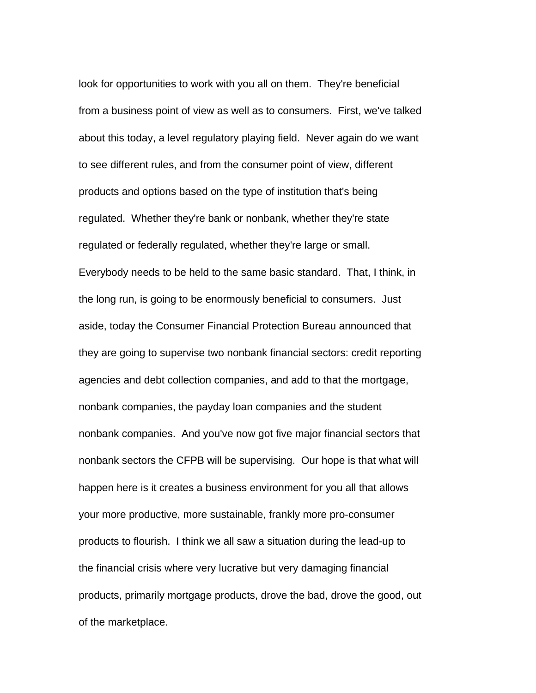look for opportunities to work with you all on them. They're beneficial from a business point of view as well as to consumers. First, we've talked about this today, a level regulatory playing field. Never again do we want to see different rules, and from the consumer point of view, different products and options based on the type of institution that's being regulated. Whether they're bank or nonbank, whether they're state regulated or federally regulated, whether they're large or small. Everybody needs to be held to the same basic standard. That, I think, in the long run, is going to be enormously beneficial to consumers. Just aside, today the Consumer Financial Protection Bureau announced that they are going to supervise two nonbank financial sectors: credit reporting agencies and debt collection companies, and add to that the mortgage, nonbank companies, the payday loan companies and the student nonbank companies. And you've now got five major financial sectors that nonbank sectors the CFPB will be supervising. Our hope is that what will happen here is it creates a business environment for you all that allows your more productive, more sustainable, frankly more pro-consumer products to flourish. I think we all saw a situation during the lead-up to the financial crisis where very lucrative but very damaging financial products, primarily mortgage products, drove the bad, drove the good, out of the marketplace.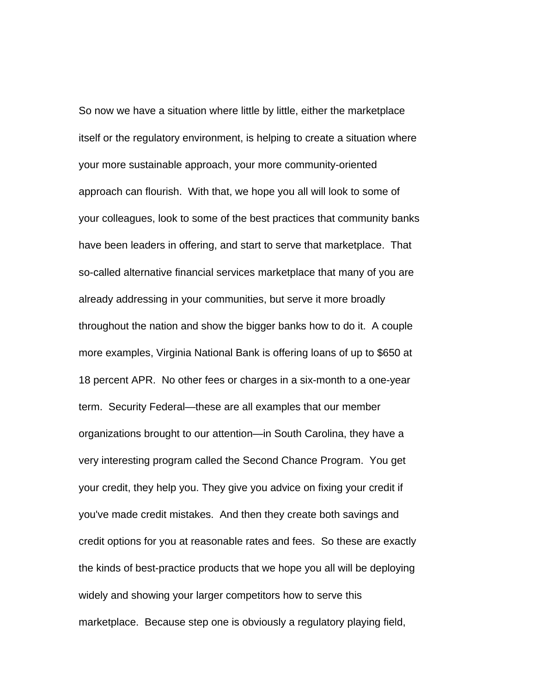So now we have a situation where little by little, either the marketplace itself or the regulatory environment, is helping to create a situation where your more sustainable approach, your more community-oriented approach can flourish. With that, we hope you all will look to some of your colleagues, look to some of the best practices that community banks have been leaders in offering, and start to serve that marketplace. That so-called alternative financial services marketplace that many of you are already addressing in your communities, but serve it more broadly throughout the nation and show the bigger banks how to do it. A couple more examples, Virginia National Bank is offering loans of up to \$650 at 18 percent APR. No other fees or charges in a six-month to a one-year term. Security Federal—these are all examples that our member organizations brought to our attention—in South Carolina, they have a very interesting program called the Second Chance Program. You get your credit, they help you. They give you advice on fixing your credit if you've made credit mistakes. And then they create both savings and credit options for you at reasonable rates and fees. So these are exactly the kinds of best-practice products that we hope you all will be deploying widely and showing your larger competitors how to serve this marketplace. Because step one is obviously a regulatory playing field,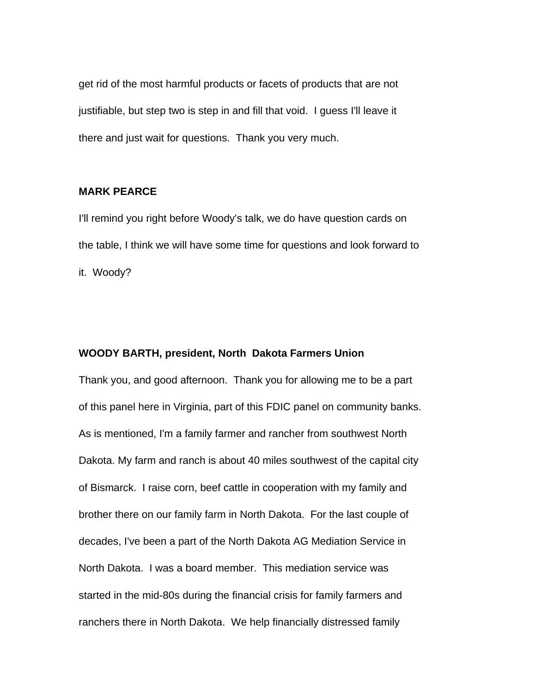get rid of the most harmful products or facets of products that are not justifiable, but step two is step in and fill that void. I guess I'll leave it there and just wait for questions. Thank you very much.

## **MARK PEARCE**

I'll remind you right before Woody's talk, we do have question cards on the table, I think we will have some time for questions and look forward to it. Woody?

## **WOODY BARTH, president, North Dakota Farmers Union**

Thank you, and good afternoon. Thank you for allowing me to be a part of this panel here in Virginia, part of this FDIC panel on community banks. As is mentioned, I'm a family farmer and rancher from southwest North Dakota. My farm and ranch is about 40 miles southwest of the capital city of Bismarck. I raise corn, beef cattle in cooperation with my family and brother there on our family farm in North Dakota. For the last couple of decades, I've been a part of the North Dakota AG Mediation Service in North Dakota. I was a board member. This mediation service was started in the mid-80s during the financial crisis for family farmers and ranchers there in North Dakota. We help financially distressed family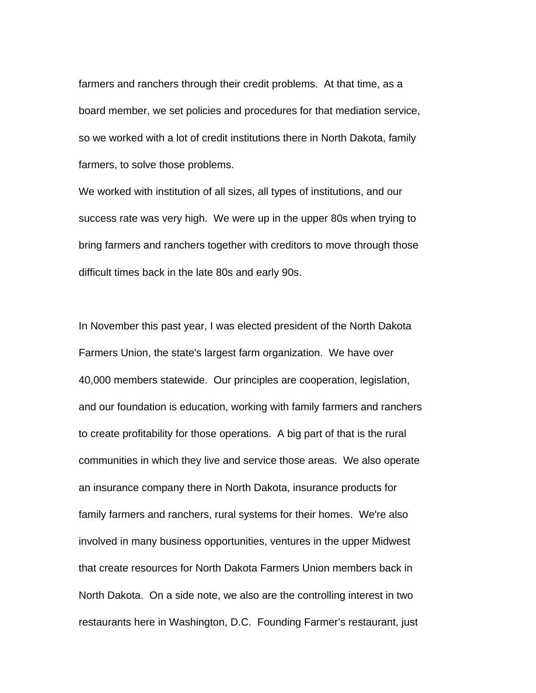farmers and ranchers through their credit problems. At that time, as a board member, we set policies and procedures for that mediation service, so we worked with a lot of credit institutions there in North Dakota, family farmers, to solve those problems.

We worked with institution of all sizes, all types of institutions, and our success rate was very high. We were up in the upper 80s when trying to bring farmers and ranchers together with creditors to move through those difficult times back in the late 80s and early 90s.

In November this past year, I was elected president of the North Dakota Farmers Union, the state's largest farm organization. We have over 40,000 members statewide. Our principles are cooperation, legislation, and our foundation is education, working with family farmers and ranchers to create profitability for those operations. A big part of that is the rural communities in which they live and service those areas. We also operate an insurance company there in North Dakota, insurance products for family farmers and ranchers, rural systems for their homes. We're also involved in many business opportunities, ventures in the upper Midwest that create resources for North Dakota Farmers Union members back in North Dakota. On a side note, we also are the controlling interest in two restaurants here in Washington, D.C. Founding Farmer's restaurant, just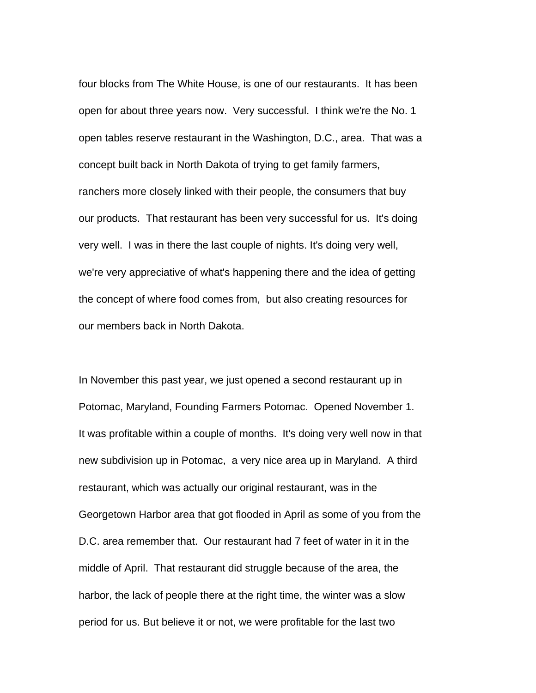four blocks from The White House, is one of our restaurants. It has been open for about three years now. Very successful. I think we're the No. 1 open tables reserve restaurant in the Washington, D.C., area. That was a concept built back in North Dakota of trying to get family farmers, ranchers more closely linked with their people, the consumers that buy our products. That restaurant has been very successful for us. It's doing very well. I was in there the last couple of nights. It's doing very well, we're very appreciative of what's happening there and the idea of getting the concept of where food comes from, but also creating resources for our members back in North Dakota.

In November this past year, we just opened a second restaurant up in Potomac, Maryland, Founding Farmers Potomac. Opened November 1. It was profitable within a couple of months. It's doing very well now in that new subdivision up in Potomac, a very nice area up in Maryland. A third restaurant, which was actually our original restaurant, was in the Georgetown Harbor area that got flooded in April as some of you from the D.C. area remember that. Our restaurant had 7 feet of water in it in the middle of April. That restaurant did struggle because of the area, the harbor, the lack of people there at the right time, the winter was a slow period for us. But believe it or not, we were profitable for the last two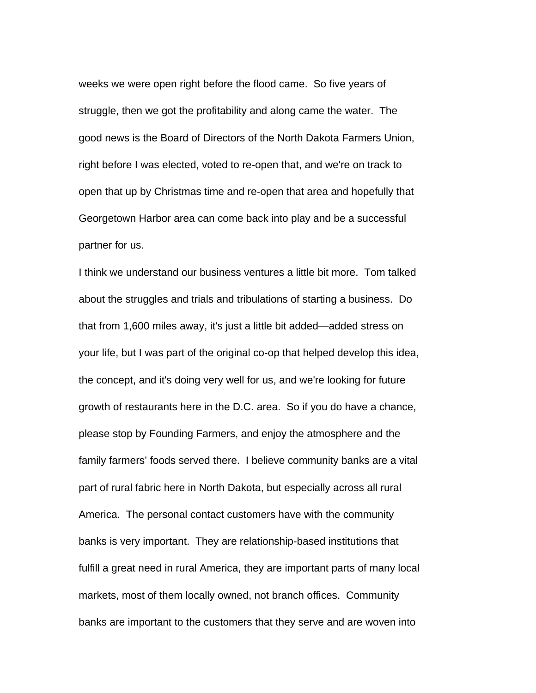weeks we were open right before the flood came. So five years of struggle, then we got the profitability and along came the water. The good news is the Board of Directors of the North Dakota Farmers Union, right before I was elected, voted to re-open that, and we're on track to open that up by Christmas time and re-open that area and hopefully that Georgetown Harbor area can come back into play and be a successful partner for us.

I think we understand our business ventures a little bit more. Tom talked about the struggles and trials and tribulations of starting a business. Do that from 1,600 miles away, it's just a little bit added—added stress on your life, but I was part of the original co-op that helped develop this idea, the concept, and it's doing very well for us, and we're looking for future growth of restaurants here in the D.C. area. So if you do have a chance, please stop by Founding Farmers, and enjoy the atmosphere and the family farmers' foods served there. I believe community banks are a vital part of rural fabric here in North Dakota, but especially across all rural America. The personal contact customers have with the community banks is very important. They are relationship-based institutions that fulfill a great need in rural America, they are important parts of many local markets, most of them locally owned, not branch offices. Community banks are important to the customers that they serve and are woven into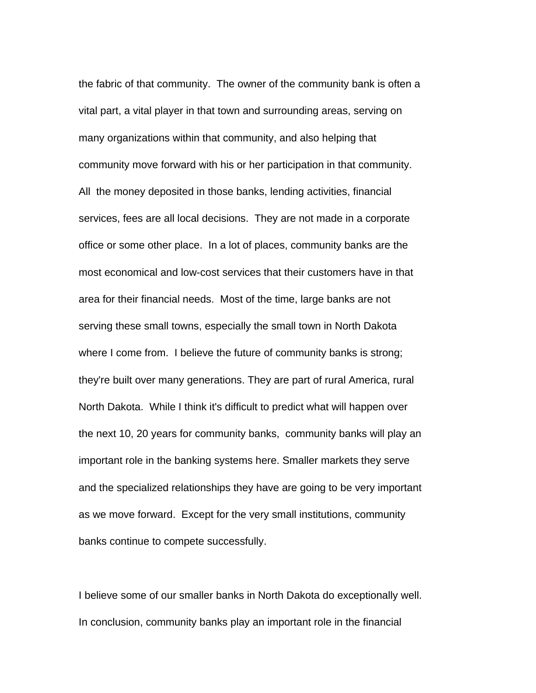the fabric of that community. The owner of the community bank is often a vital part, a vital player in that town and surrounding areas, serving on many organizations within that community, and also helping that community move forward with his or her participation in that community. All the money deposited in those banks, lending activities, financial services, fees are all local decisions. They are not made in a corporate office or some other place. In a lot of places, community banks are the most economical and low-cost services that their customers have in that area for their financial needs. Most of the time, large banks are not serving these small towns, especially the small town in North Dakota where I come from. I believe the future of community banks is strong; they're built over many generations. They are part of rural America, rural North Dakota. While I think it's difficult to predict what will happen over the next 10, 20 years for community banks, community banks will play an important role in the banking systems here. Smaller markets they serve and the specialized relationships they have are going to be very important as we move forward. Except for the very small institutions, community banks continue to compete successfully.

I believe some of our smaller banks in North Dakota do exceptionally well. In conclusion, community banks play an important role in the financial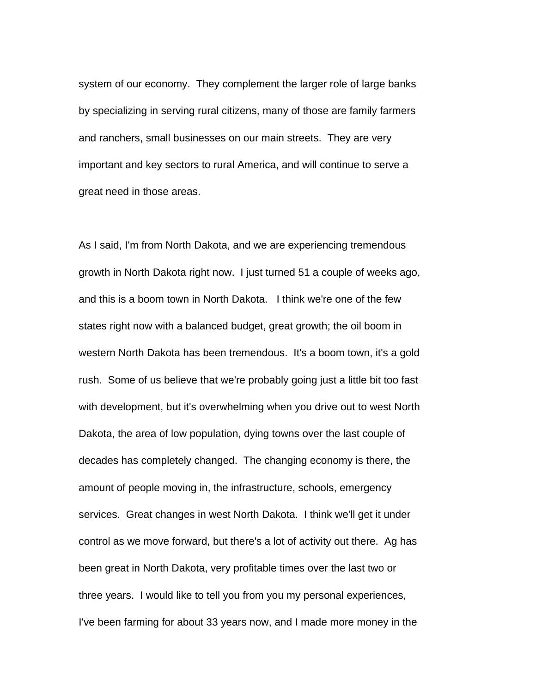system of our economy. They complement the larger role of large banks by specializing in serving rural citizens, many of those are family farmers and ranchers, small businesses on our main streets. They are very important and key sectors to rural America, and will continue to serve a great need in those areas.

As I said, I'm from North Dakota, and we are experiencing tremendous growth in North Dakota right now. I just turned 51 a couple of weeks ago, and this is a boom town in North Dakota. I think we're one of the few states right now with a balanced budget, great growth; the oil boom in western North Dakota has been tremendous. It's a boom town, it's a gold rush. Some of us believe that we're probably going just a little bit too fast with development, but it's overwhelming when you drive out to west North Dakota, the area of low population, dying towns over the last couple of decades has completely changed. The changing economy is there, the amount of people moving in, the infrastructure, schools, emergency services. Great changes in west North Dakota. I think we'll get it under control as we move forward, but there's a lot of activity out there. Ag has been great in North Dakota, very profitable times over the last two or three years. I would like to tell you from you my personal experiences, I've been farming for about 33 years now, and I made more money in the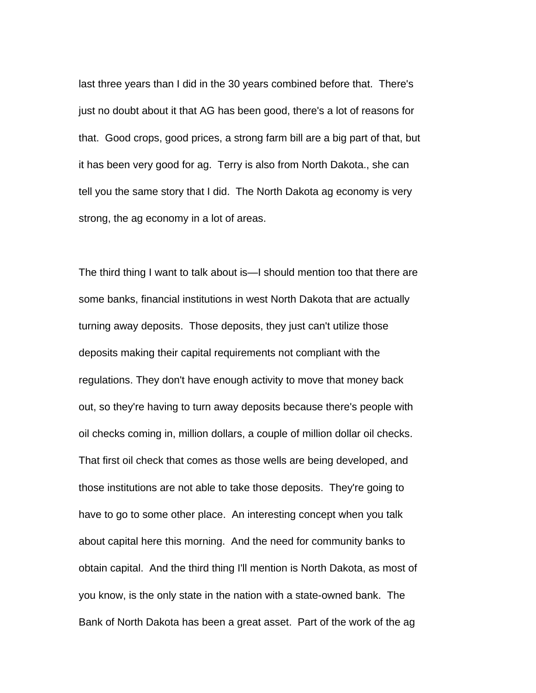last three years than I did in the 30 years combined before that. There's just no doubt about it that AG has been good, there's a lot of reasons for that. Good crops, good prices, a strong farm bill are a big part of that, but it has been very good for ag. Terry is also from North Dakota., she can tell you the same story that I did. The North Dakota ag economy is very strong, the ag economy in a lot of areas.

The third thing I want to talk about is—I should mention too that there are some banks, financial institutions in west North Dakota that are actually turning away deposits. Those deposits, they just can't utilize those deposits making their capital requirements not compliant with the regulations. They don't have enough activity to move that money back out, so they're having to turn away deposits because there's people with oil checks coming in, million dollars, a couple of million dollar oil checks. That first oil check that comes as those wells are being developed, and those institutions are not able to take those deposits. They're going to have to go to some other place. An interesting concept when you talk about capital here this morning. And the need for community banks to obtain capital. And the third thing I'll mention is North Dakota, as most of you know, is the only state in the nation with a state-owned bank. The Bank of North Dakota has been a great asset. Part of the work of the ag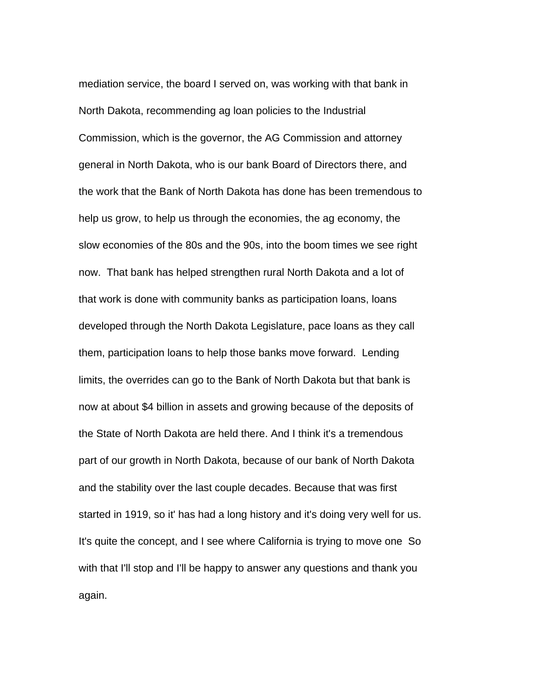mediation service, the board I served on, was working with that bank in North Dakota, recommending ag loan policies to the Industrial Commission, which is the governor, the AG Commission and attorney general in North Dakota, who is our bank Board of Directors there, and the work that the Bank of North Dakota has done has been tremendous to help us grow, to help us through the economies, the ag economy, the slow economies of the 80s and the 90s, into the boom times we see right now. That bank has helped strengthen rural North Dakota and a lot of that work is done with community banks as participation loans, loans developed through the North Dakota Legislature, pace loans as they call them, participation loans to help those banks move forward. Lending limits, the overrides can go to the Bank of North Dakota but that bank is now at about \$4 billion in assets and growing because of the deposits of the State of North Dakota are held there. And I think it's a tremendous part of our growth in North Dakota, because of our bank of North Dakota and the stability over the last couple decades. Because that was first started in 1919, so it' has had a long history and it's doing very well for us. It's quite the concept, and I see where California is trying to move one So with that I'll stop and I'll be happy to answer any questions and thank you again.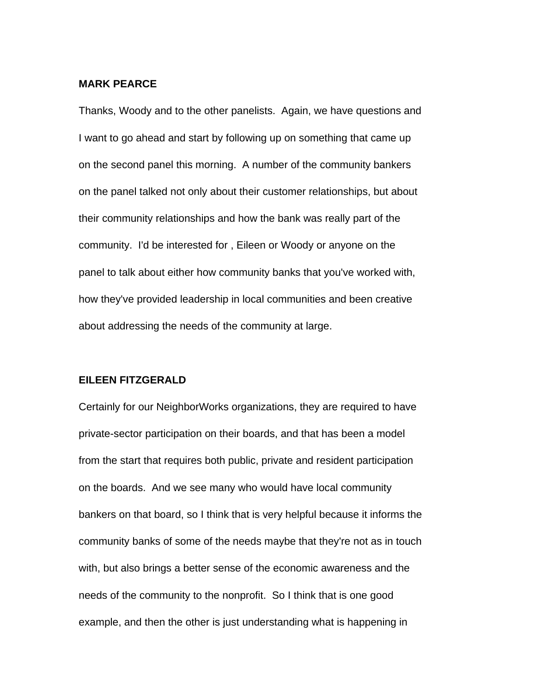## **MARK PEARCE**

Thanks, Woody and to the other panelists. Again, we have questions and I want to go ahead and start by following up on something that came up on the second panel this morning. A number of the community bankers on the panel talked not only about their customer relationships, but about their community relationships and how the bank was really part of the community. I'd be interested for , Eileen or Woody or anyone on the panel to talk about either how community banks that you've worked with, how they've provided leadership in local communities and been creative about addressing the needs of the community at large.

## **EILEEN FITZGERALD**

Certainly for our NeighborWorks organizations, they are required to have private-sector participation on their boards, and that has been a model from the start that requires both public, private and resident participation on the boards. And we see many who would have local community bankers on that board, so I think that is very helpful because it informs the community banks of some of the needs maybe that they're not as in touch with, but also brings a better sense of the economic awareness and the needs of the community to the nonprofit. So I think that is one good example, and then the other is just understanding what is happening in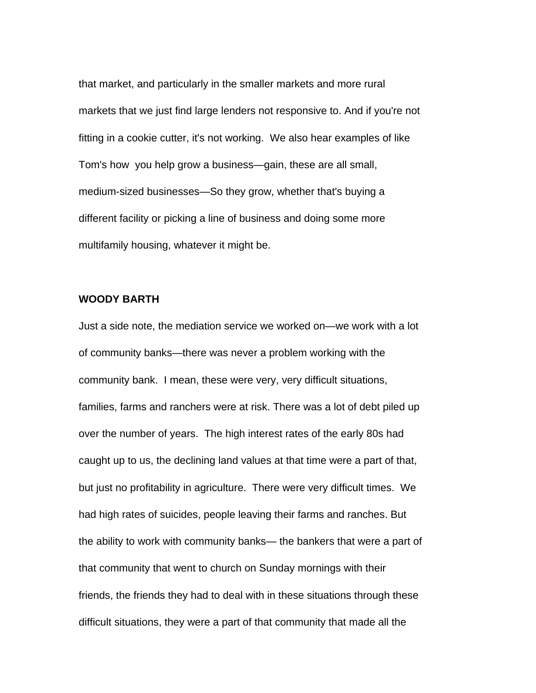that market, and particularly in the smaller markets and more rural markets that we just find large lenders not responsive to. And if you're not fitting in a cookie cutter, it's not working. We also hear examples of like Tom's how you help grow a business—gain, these are all small, medium-sized businesses—So they grow, whether that's buying a different facility or picking a line of business and doing some more multifamily housing, whatever it might be.

## **WOODY BARTH**

Just a side note, the mediation service we worked on—we work with a lot of community banks—there was never a problem working with the community bank. I mean, these were very, very difficult situations, families, farms and ranchers were at risk. There was a lot of debt piled up over the number of years. The high interest rates of the early 80s had caught up to us, the declining land values at that time were a part of that, but just no profitability in agriculture. There were very difficult times. We had high rates of suicides, people leaving their farms and ranches. But the ability to work with community banks— the bankers that were a part of that community that went to church on Sunday mornings with their friends, the friends they had to deal with in these situations through these difficult situations, they were a part of that community that made all the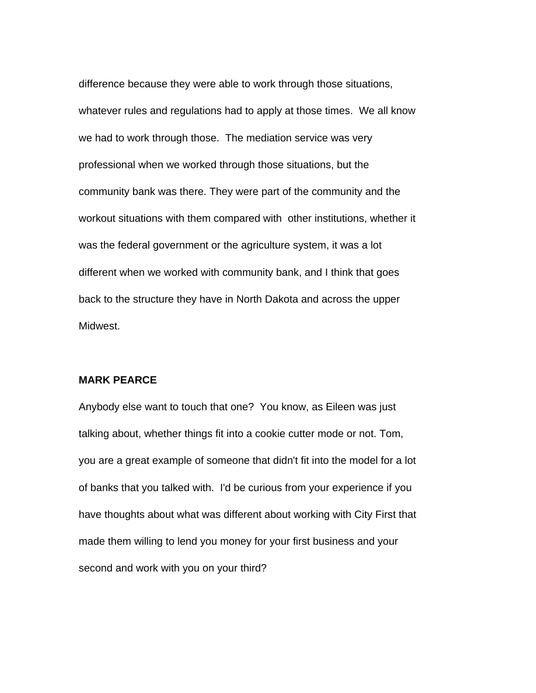difference because they were able to work through those situations, whatever rules and regulations had to apply at those times. We all know we had to work through those. The mediation service was very professional when we worked through those situations, but the community bank was there. They were part of the community and the workout situations with them compared with other institutions, whether it was the federal government or the agriculture system, it was a lot different when we worked with community bank, and I think that goes back to the structure they have in North Dakota and across the upper Midwest.

## **MARK PEARCE**

Anybody else want to touch that one? You know, as Eileen was just talking about, whether things fit into a cookie cutter mode or not. Tom, you are a great example of someone that didn't fit into the model for a lot of banks that you talked with. I'd be curious from your experience if you have thoughts about what was different about working with City First that made them willing to lend you money for your first business and your second and work with you on your third?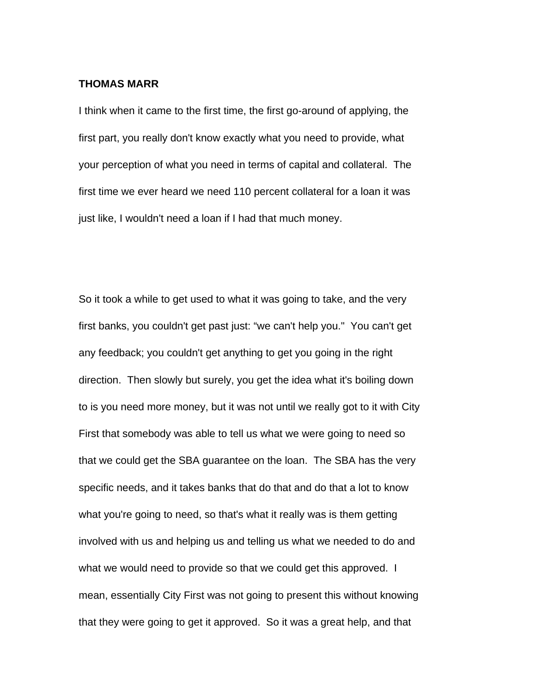## **THOMAS MARR**

I think when it came to the first time, the first go-around of applying, the first part, you really don't know exactly what you need to provide, what your perception of what you need in terms of capital and collateral. The first time we ever heard we need 110 percent collateral for a loan it was just like, I wouldn't need a loan if I had that much money.

So it took a while to get used to what it was going to take, and the very first banks, you couldn't get past just: "we can't help you." You can't get any feedback; you couldn't get anything to get you going in the right direction. Then slowly but surely, you get the idea what it's boiling down to is you need more money, but it was not until we really got to it with City First that somebody was able to tell us what we were going to need so that we could get the SBA guarantee on the loan. The SBA has the very specific needs, and it takes banks that do that and do that a lot to know what you're going to need, so that's what it really was is them getting involved with us and helping us and telling us what we needed to do and what we would need to provide so that we could get this approved. I mean, essentially City First was not going to present this without knowing that they were going to get it approved. So it was a great help, and that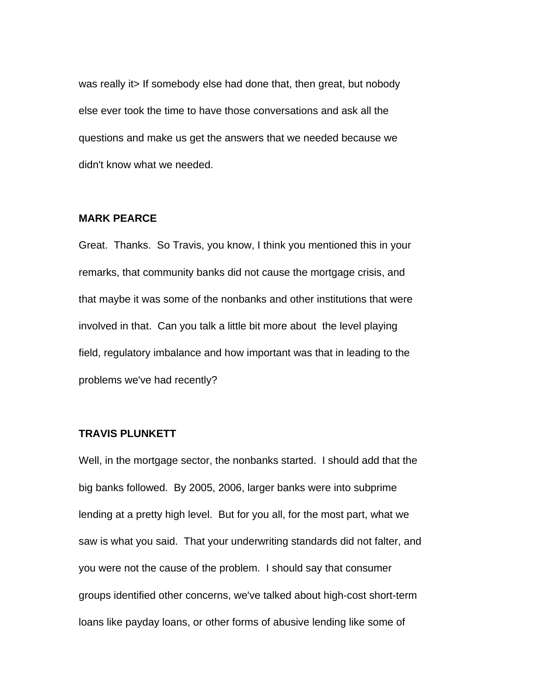was really it> If somebody else had done that, then great, but nobody else ever took the time to have those conversations and ask all the questions and make us get the answers that we needed because we didn't know what we needed.

## **MARK PEARCE**

Great. Thanks. So Travis, you know, I think you mentioned this in your remarks, that community banks did not cause the mortgage crisis, and that maybe it was some of the nonbanks and other institutions that were involved in that. Can you talk a little bit more about the level playing field, regulatory imbalance and how important was that in leading to the problems we've had recently?

## **TRAVIS PLUNKETT**

Well, in the mortgage sector, the nonbanks started. I should add that the big banks followed. By 2005, 2006, larger banks were into subprime lending at a pretty high level. But for you all, for the most part, what we saw is what you said. That your underwriting standards did not falter, and you were not the cause of the problem. I should say that consumer groups identified other concerns, we've talked about high-cost short-term loans like payday loans, or other forms of abusive lending like some of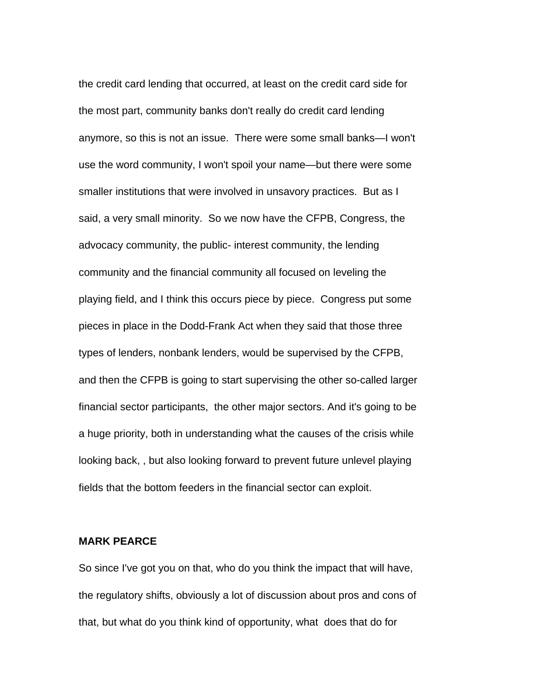the credit card lending that occurred, at least on the credit card side for the most part, community banks don't really do credit card lending anymore, so this is not an issue. There were some small banks—I won't use the word community, I won't spoil your name—but there were some smaller institutions that were involved in unsavory practices. But as I said, a very small minority. So we now have the CFPB, Congress, the advocacy community, the public- interest community, the lending community and the financial community all focused on leveling the playing field, and I think this occurs piece by piece. Congress put some pieces in place in the Dodd-Frank Act when they said that those three types of lenders, nonbank lenders, would be supervised by the CFPB, and then the CFPB is going to start supervising the other so-called larger financial sector participants, the other major sectors. And it's going to be a huge priority, both in understanding what the causes of the crisis while looking back, , but also looking forward to prevent future unlevel playing fields that the bottom feeders in the financial sector can exploit.

## **MARK PEARCE**

So since I've got you on that, who do you think the impact that will have, the regulatory shifts, obviously a lot of discussion about pros and cons of that, but what do you think kind of opportunity, what does that do for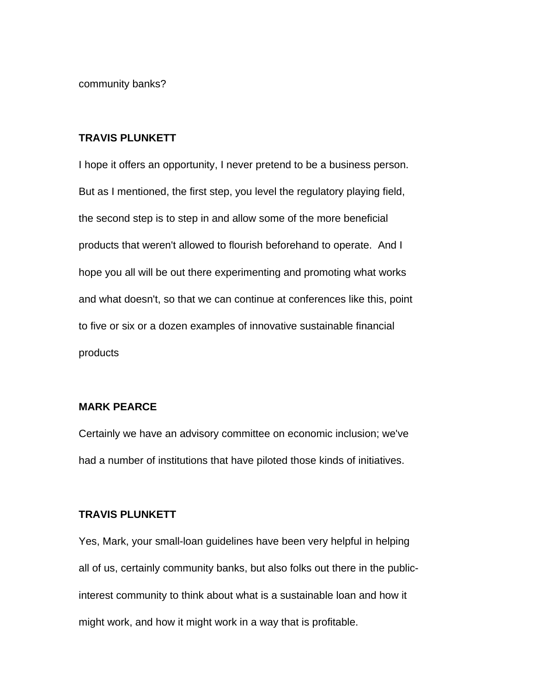community banks?

#### **TRAVIS PLUNKETT**

I hope it offers an opportunity, I never pretend to be a business person. But as I mentioned, the first step, you level the regulatory playing field, the second step is to step in and allow some of the more beneficial products that weren't allowed to flourish beforehand to operate. And I hope you all will be out there experimenting and promoting what works and what doesn't, so that we can continue at conferences like this, point to five or six or a dozen examples of innovative sustainable financial products

## **MARK PEARCE**

Certainly we have an advisory committee on economic inclusion; we've had a number of institutions that have piloted those kinds of initiatives.

#### **TRAVIS PLUNKETT**

Yes, Mark, your small-loan guidelines have been very helpful in helping all of us, certainly community banks, but also folks out there in the publicinterest community to think about what is a sustainable loan and how it might work, and how it might work in a way that is profitable.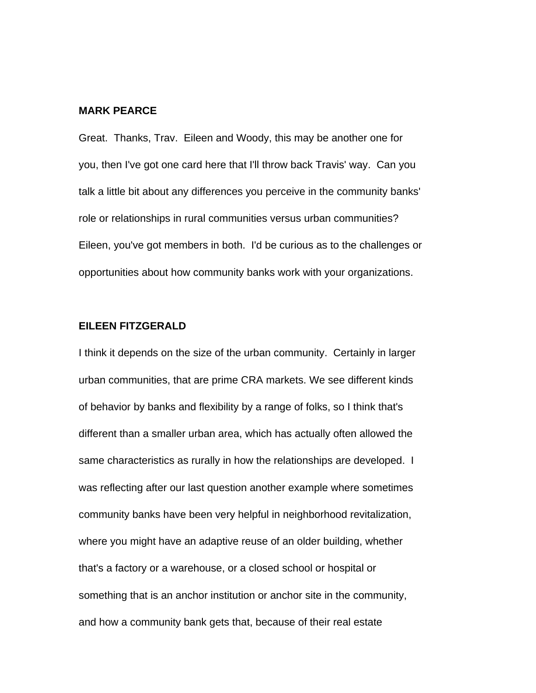#### **MARK PEARCE**

Great. Thanks, Trav. Eileen and Woody, this may be another one for you, then I've got one card here that I'll throw back Travis' way. Can you talk a little bit about any differences you perceive in the community banks' role or relationships in rural communities versus urban communities? Eileen, you've got members in both. I'd be curious as to the challenges or opportunities about how community banks work with your organizations.

#### **EILEEN FITZGERALD**

I think it depends on the size of the urban community. Certainly in larger urban communities, that are prime CRA markets. We see different kinds of behavior by banks and flexibility by a range of folks, so I think that's different than a smaller urban area, which has actually often allowed the same characteristics as rurally in how the relationships are developed. I was reflecting after our last question another example where sometimes community banks have been very helpful in neighborhood revitalization, where you might have an adaptive reuse of an older building, whether that's a factory or a warehouse, or a closed school or hospital or something that is an anchor institution or anchor site in the community, and how a community bank gets that, because of their real estate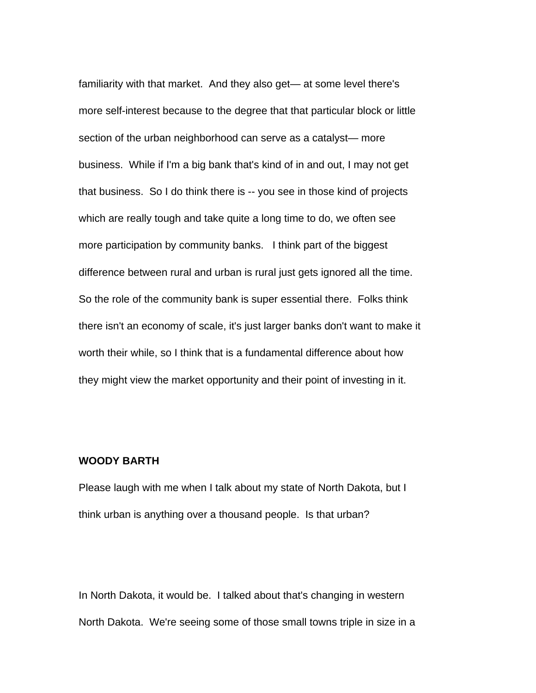familiarity with that market. And they also get— at some level there's more self-interest because to the degree that that particular block or little section of the urban neighborhood can serve as a catalyst— more business. While if I'm a big bank that's kind of in and out, I may not get that business. So I do think there is -- you see in those kind of projects which are really tough and take quite a long time to do, we often see more participation by community banks. I think part of the biggest difference between rural and urban is rural just gets ignored all the time. So the role of the community bank is super essential there. Folks think there isn't an economy of scale, it's just larger banks don't want to make it worth their while, so I think that is a fundamental difference about how they might view the market opportunity and their point of investing in it.

## **WOODY BARTH**

Please laugh with me when I talk about my state of North Dakota, but I think urban is anything over a thousand people. Is that urban?

In North Dakota, it would be. I talked about that's changing in western North Dakota. We're seeing some of those small towns triple in size in a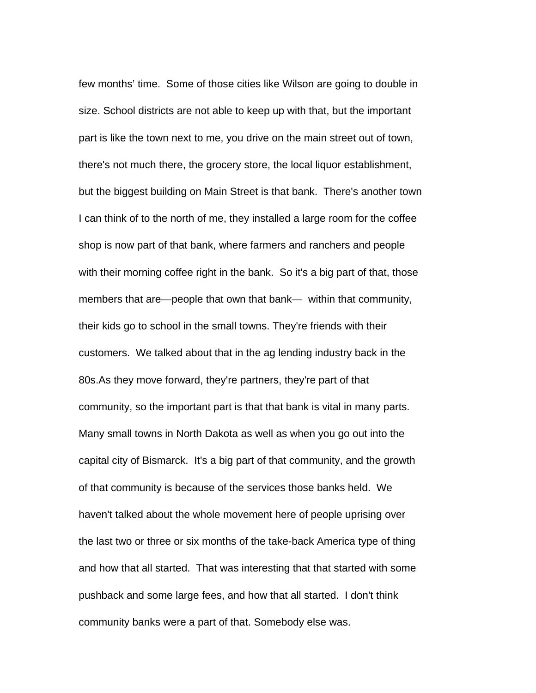few months' time. Some of those cities like Wilson are going to double in size. School districts are not able to keep up with that, but the important part is like the town next to me, you drive on the main street out of town, there's not much there, the grocery store, the local liquor establishment, but the biggest building on Main Street is that bank. There's another town I can think of to the north of me, they installed a large room for the coffee shop is now part of that bank, where farmers and ranchers and people with their morning coffee right in the bank. So it's a big part of that, those members that are—people that own that bank— within that community, their kids go to school in the small towns. They're friends with their customers. We talked about that in the ag lending industry back in the 80s.As they move forward, they're partners, they're part of that community, so the important part is that that bank is vital in many parts. Many small towns in North Dakota as well as when you go out into the capital city of Bismarck. It's a big part of that community, and the growth of that community is because of the services those banks held. We haven't talked about the whole movement here of people uprising over the last two or three or six months of the take-back America type of thing and how that all started. That was interesting that that started with some pushback and some large fees, and how that all started. I don't think community banks were a part of that. Somebody else was.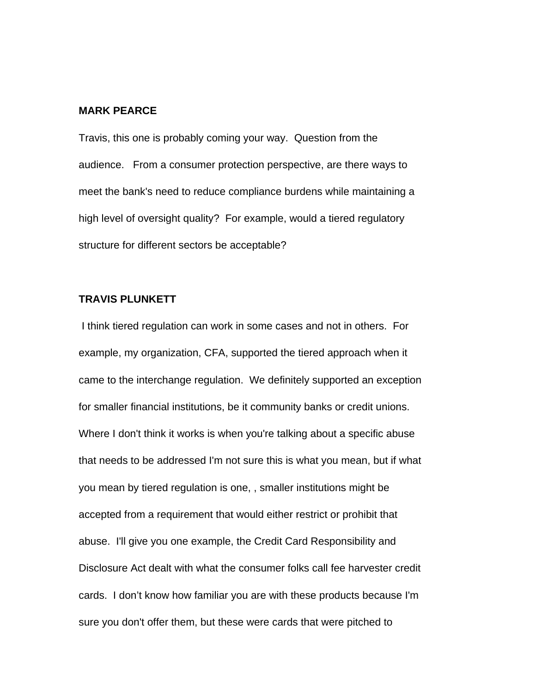#### **MARK PEARCE**

Travis, this one is probably coming your way. Question from the audience. From a consumer protection perspective, are there ways to meet the bank's need to reduce compliance burdens while maintaining a high level of oversight quality? For example, would a tiered regulatory structure for different sectors be acceptable?

## **TRAVIS PLUNKETT**

 I think tiered regulation can work in some cases and not in others. For example, my organization, CFA, supported the tiered approach when it came to the interchange regulation. We definitely supported an exception for smaller financial institutions, be it community banks or credit unions. Where I don't think it works is when you're talking about a specific abuse that needs to be addressed I'm not sure this is what you mean, but if what you mean by tiered regulation is one, , smaller institutions might be accepted from a requirement that would either restrict or prohibit that abuse. I'll give you one example, the Credit Card Responsibility and Disclosure Act dealt with what the consumer folks call fee harvester credit cards. I don't know how familiar you are with these products because I'm sure you don't offer them, but these were cards that were pitched to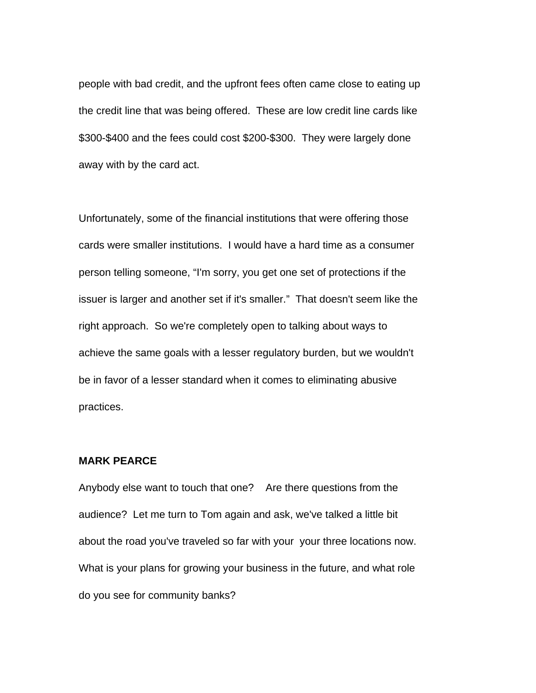people with bad credit, and the upfront fees often came close to eating up the credit line that was being offered. These are low credit line cards like \$300-\$400 and the fees could cost \$200-\$300. They were largely done away with by the card act.

Unfortunately, some of the financial institutions that were offering those cards were smaller institutions. I would have a hard time as a consumer person telling someone, "I'm sorry, you get one set of protections if the issuer is larger and another set if it's smaller." That doesn't seem like the right approach. So we're completely open to talking about ways to achieve the same goals with a lesser regulatory burden, but we wouldn't be in favor of a lesser standard when it comes to eliminating abusive practices.

## **MARK PEARCE**

Anybody else want to touch that one? Are there questions from the audience? Let me turn to Tom again and ask, we've talked a little bit about the road you've traveled so far with your your three locations now. What is your plans for growing your business in the future, and what role do you see for community banks?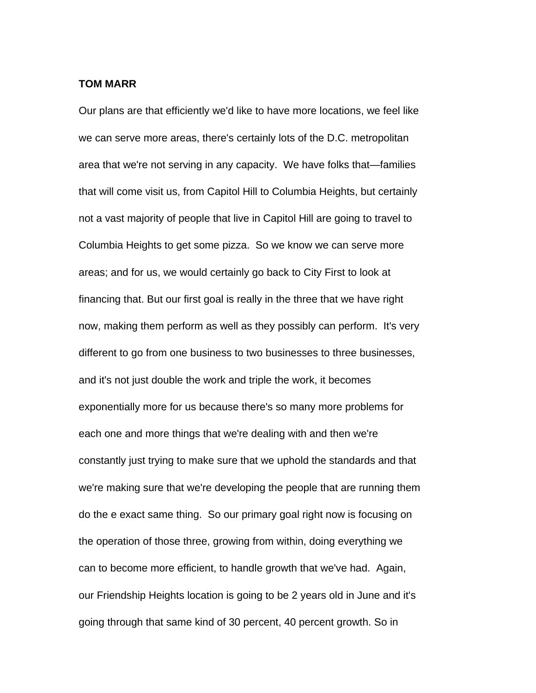## **TOM MARR**

Our plans are that efficiently we'd like to have more locations, we feel like we can serve more areas, there's certainly lots of the D.C. metropolitan area that we're not serving in any capacity. We have folks that—families that will come visit us, from Capitol Hill to Columbia Heights, but certainly not a vast majority of people that live in Capitol Hill are going to travel to Columbia Heights to get some pizza. So we know we can serve more areas; and for us, we would certainly go back to City First to look at financing that. But our first goal is really in the three that we have right now, making them perform as well as they possibly can perform. It's very different to go from one business to two businesses to three businesses, and it's not just double the work and triple the work, it becomes exponentially more for us because there's so many more problems for each one and more things that we're dealing with and then we're constantly just trying to make sure that we uphold the standards and that we're making sure that we're developing the people that are running them do the e exact same thing. So our primary goal right now is focusing on the operation of those three, growing from within, doing everything we can to become more efficient, to handle growth that we've had. Again, our Friendship Heights location is going to be 2 years old in June and it's going through that same kind of 30 percent, 40 percent growth. So in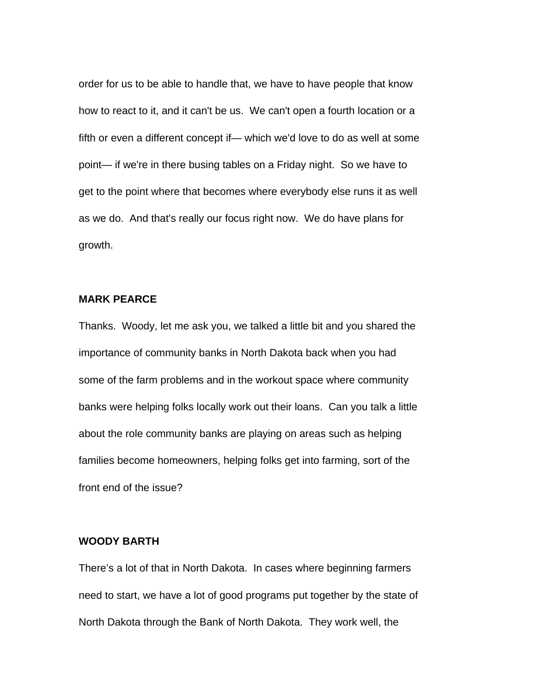order for us to be able to handle that, we have to have people that know how to react to it, and it can't be us. We can't open a fourth location or a fifth or even a different concept if— which we'd love to do as well at some point— if we're in there busing tables on a Friday night. So we have to get to the point where that becomes where everybody else runs it as well as we do. And that's really our focus right now. We do have plans for growth.

## **MARK PEARCE**

Thanks. Woody, let me ask you, we talked a little bit and you shared the importance of community banks in North Dakota back when you had some of the farm problems and in the workout space where community banks were helping folks locally work out their loans. Can you talk a little about the role community banks are playing on areas such as helping families become homeowners, helping folks get into farming, sort of the front end of the issue?

## **WOODY BARTH**

There's a lot of that in North Dakota. In cases where beginning farmers need to start, we have a lot of good programs put together by the state of North Dakota through the Bank of North Dakota. They work well, the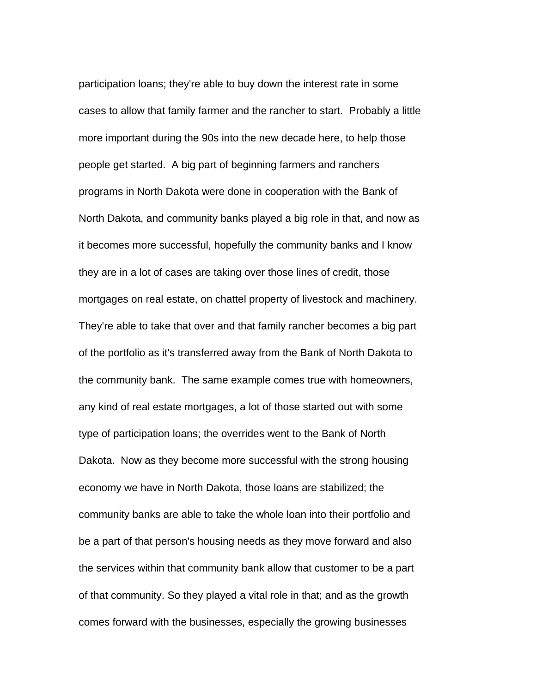participation loans; they're able to buy down the interest rate in some cases to allow that family farmer and the rancher to start. Probably a little more important during the 90s into the new decade here, to help those people get started. A big part of beginning farmers and ranchers programs in North Dakota were done in cooperation with the Bank of North Dakota, and community banks played a big role in that, and now as it becomes more successful, hopefully the community banks and I know they are in a lot of cases are taking over those lines of credit, those mortgages on real estate, on chattel property of livestock and machinery. They're able to take that over and that family rancher becomes a big part of the portfolio as it's transferred away from the Bank of North Dakota to the community bank. The same example comes true with homeowners, any kind of real estate mortgages, a lot of those started out with some type of participation loans; the overrides went to the Bank of North Dakota. Now as they become more successful with the strong housing economy we have in North Dakota, those loans are stabilized; the community banks are able to take the whole loan into their portfolio and be a part of that person's housing needs as they move forward and also the services within that community bank allow that customer to be a part of that community. So they played a vital role in that; and as the growth comes forward with the businesses, especially the growing businesses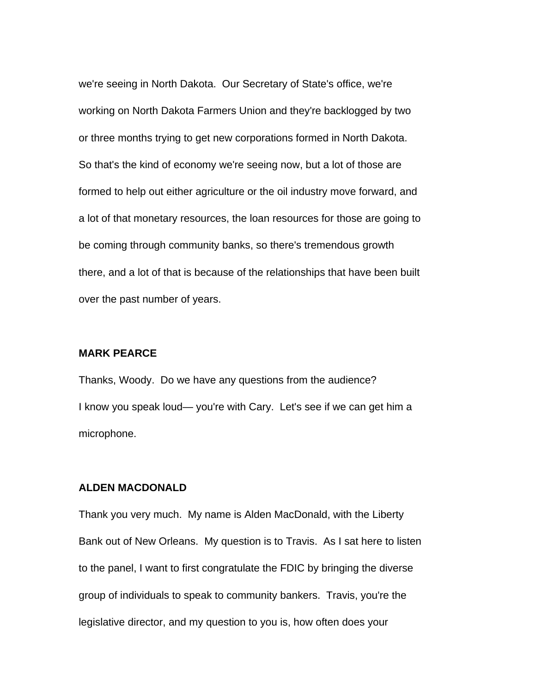we're seeing in North Dakota. Our Secretary of State's office, we're working on North Dakota Farmers Union and they're backlogged by two or three months trying to get new corporations formed in North Dakota. So that's the kind of economy we're seeing now, but a lot of those are formed to help out either agriculture or the oil industry move forward, and a lot of that monetary resources, the loan resources for those are going to be coming through community banks, so there's tremendous growth there, and a lot of that is because of the relationships that have been built over the past number of years.

## **MARK PEARCE**

Thanks, Woody. Do we have any questions from the audience? I know you speak loud— you're with Cary. Let's see if we can get him a microphone.

## **ALDEN MACDONALD**

Thank you very much. My name is Alden MacDonald, with the Liberty Bank out of New Orleans. My question is to Travis. As I sat here to listen to the panel, I want to first congratulate the FDIC by bringing the diverse group of individuals to speak to community bankers. Travis, you're the legislative director, and my question to you is, how often does your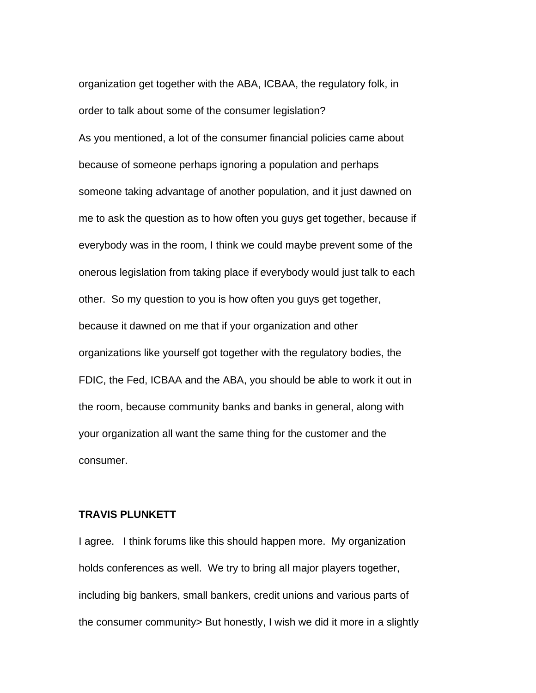organization get together with the ABA, ICBAA, the regulatory folk, in order to talk about some of the consumer legislation? As you mentioned, a lot of the consumer financial policies came about because of someone perhaps ignoring a population and perhaps someone taking advantage of another population, and it just dawned on me to ask the question as to how often you guys get together, because if everybody was in the room, I think we could maybe prevent some of the onerous legislation from taking place if everybody would just talk to each other. So my question to you is how often you guys get together, because it dawned on me that if your organization and other organizations like yourself got together with the regulatory bodies, the FDIC, the Fed, ICBAA and the ABA, you should be able to work it out in the room, because community banks and banks in general, along with your organization all want the same thing for the customer and the consumer.

#### **TRAVIS PLUNKETT**

I agree. I think forums like this should happen more. My organization holds conferences as well. We try to bring all major players together, including big bankers, small bankers, credit unions and various parts of the consumer community> But honestly, I wish we did it more in a slightly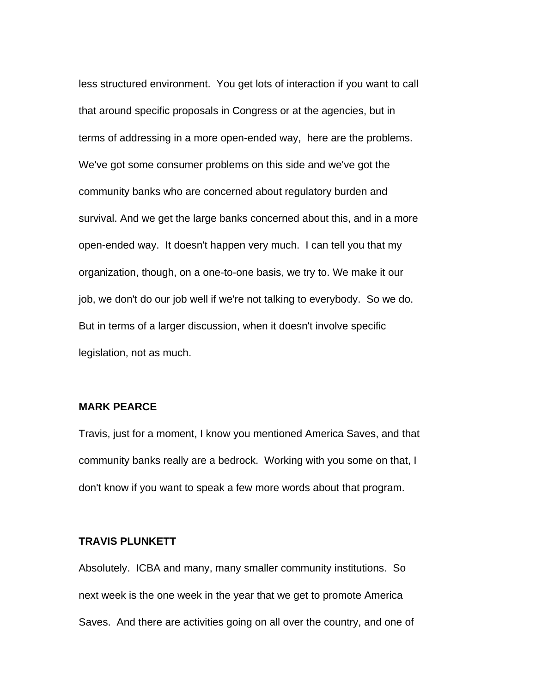less structured environment. You get lots of interaction if you want to call that around specific proposals in Congress or at the agencies, but in terms of addressing in a more open-ended way, here are the problems. We've got some consumer problems on this side and we've got the community banks who are concerned about regulatory burden and survival. And we get the large banks concerned about this, and in a more open-ended way. It doesn't happen very much. I can tell you that my organization, though, on a one-to-one basis, we try to. We make it our job, we don't do our job well if we're not talking to everybody. So we do. But in terms of a larger discussion, when it doesn't involve specific legislation, not as much.

## **MARK PEARCE**

Travis, just for a moment, I know you mentioned America Saves, and that community banks really are a bedrock. Working with you some on that, I don't know if you want to speak a few more words about that program.

## **TRAVIS PLUNKETT**

Absolutely. ICBA and many, many smaller community institutions. So next week is the one week in the year that we get to promote America Saves. And there are activities going on all over the country, and one of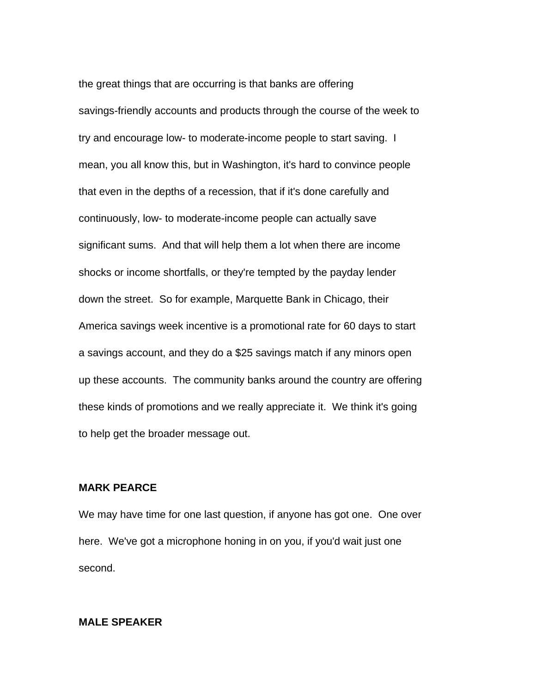the great things that are occurring is that banks are offering savings-friendly accounts and products through the course of the week to try and encourage low- to moderate-income people to start saving. I mean, you all know this, but in Washington, it's hard to convince people that even in the depths of a recession, that if it's done carefully and continuously, low- to moderate-income people can actually save significant sums. And that will help them a lot when there are income shocks or income shortfalls, or they're tempted by the payday lender down the street. So for example, Marquette Bank in Chicago, their America savings week incentive is a promotional rate for 60 days to start a savings account, and they do a \$25 savings match if any minors open up these accounts. The community banks around the country are offering these kinds of promotions and we really appreciate it. We think it's going to help get the broader message out.

## **MARK PEARCE**

We may have time for one last question, if anyone has got one. One over here. We've got a microphone honing in on you, if you'd wait just one second.

## **MALE SPEAKER**